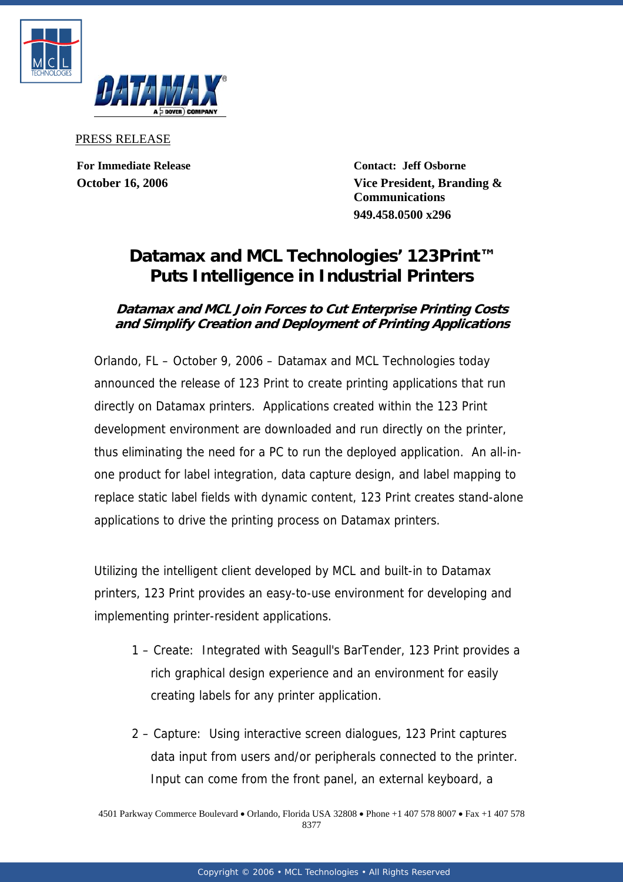



PRESS RELEASE

**For Immediate Release Contact: Jeff Osborne October 16, 2006 Vice President, Branding & Communications 949.458.0500 x296**

## **Datamax and MCL Technologies' 123Print™ Puts Intelligence in Industrial Printers**

## **Datamax and MCL Join Forces to Cut Enterprise Printing Costs and Simplify Creation and Deployment of Printing Applications**

Orlando, FL – October 9, 2006 – Datamax and MCL Technologies today announced the release of 123 Print to create printing applications that run directly on Datamax printers. Applications created within the 123 Print development environment are downloaded and run directly on the printer, thus eliminating the need for a PC to run the deployed application. An all-inone product for label integration, data capture design, and label mapping to replace static label fields with dynamic content, 123 Print creates stand-alone applications to drive the printing process on Datamax printers.

Utilizing the intelligent client developed by MCL and built-in to Datamax printers, 123 Print provides an easy-to-use environment for developing and implementing printer-resident applications.

- 1 Create: Integrated with Seagull's BarTender, 123 Print provides a rich graphical design experience and an environment for easily creating labels for any printer application.
- 2 Capture: Using interactive screen dialogues, 123 Print captures data input from users and/or peripherals connected to the printer. Input can come from the front panel, an external keyboard, a

4501 Parkway Commerce Boulevard • Orlando, Florida USA 32808 • Phone +1 407 578 8007 • Fax +1 407 578 8377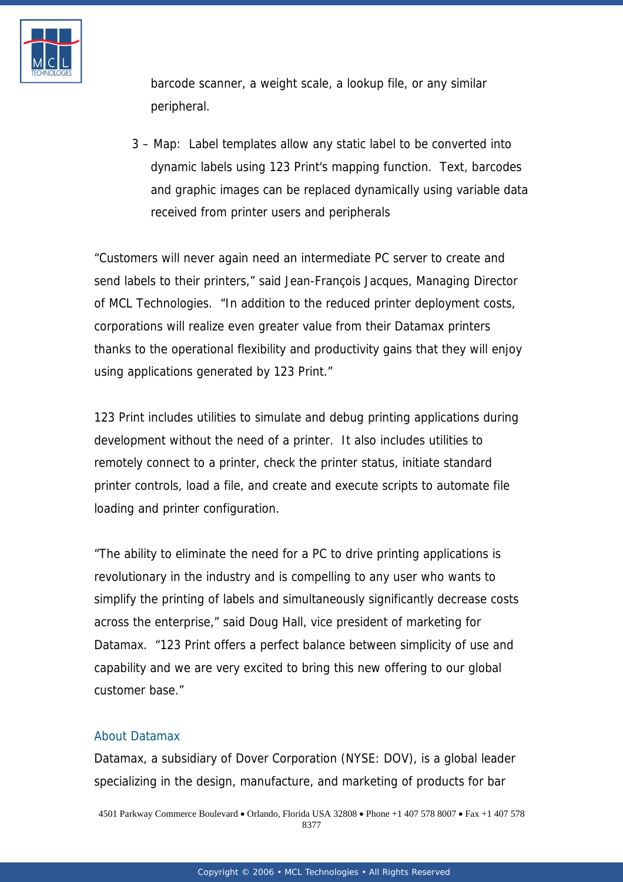

barcode scanner, a weight scale, a lookup file, or any similar peripheral.

3 – Map: Label templates allow any static label to be converted into dynamic labels using 123 Print's mapping function. Text, barcodes and graphic images can be replaced dynamically using variable data received from printer users and peripherals

"Customers will never again need an intermediate PC server to create and send labels to their printers," said Jean-François Jacques, Managing Director of MCL Technologies. "In addition to the reduced printer deployment costs, corporations will realize even greater value from their Datamax printers thanks to the operational flexibility and productivity gains that they will enjoy using applications generated by 123 Print."

123 Print includes utilities to simulate and debug printing applications during development without the need of a printer. It also includes utilities to remotely connect to a printer, check the printer status, initiate standard printer controls, load a file, and create and execute scripts to automate file loading and printer configuration.

"The ability to eliminate the need for a PC to drive printing applications is revolutionary in the industry and is compelling to any user who wants to simplify the printing of labels and simultaneously significantly decrease costs across the enterprise," said Doug Hall, vice president of marketing for Datamax. "123 Print offers a perfect balance between simplicity of use and capability and we are very excited to bring this new offering to our global customer base."

## [About Datamax](http://www.mcl-collection.com/)

Datamax, a subsidiary of Dover Corporation (NYSE: DOV), is a global leader specializing in the design, manufacture, and marketing of products for bar

4501 Parkway Commerce Boulevard • Orlando, Florida USA 32808 • Phone +1 407 578 8007 • Fax +1 407 578 8377